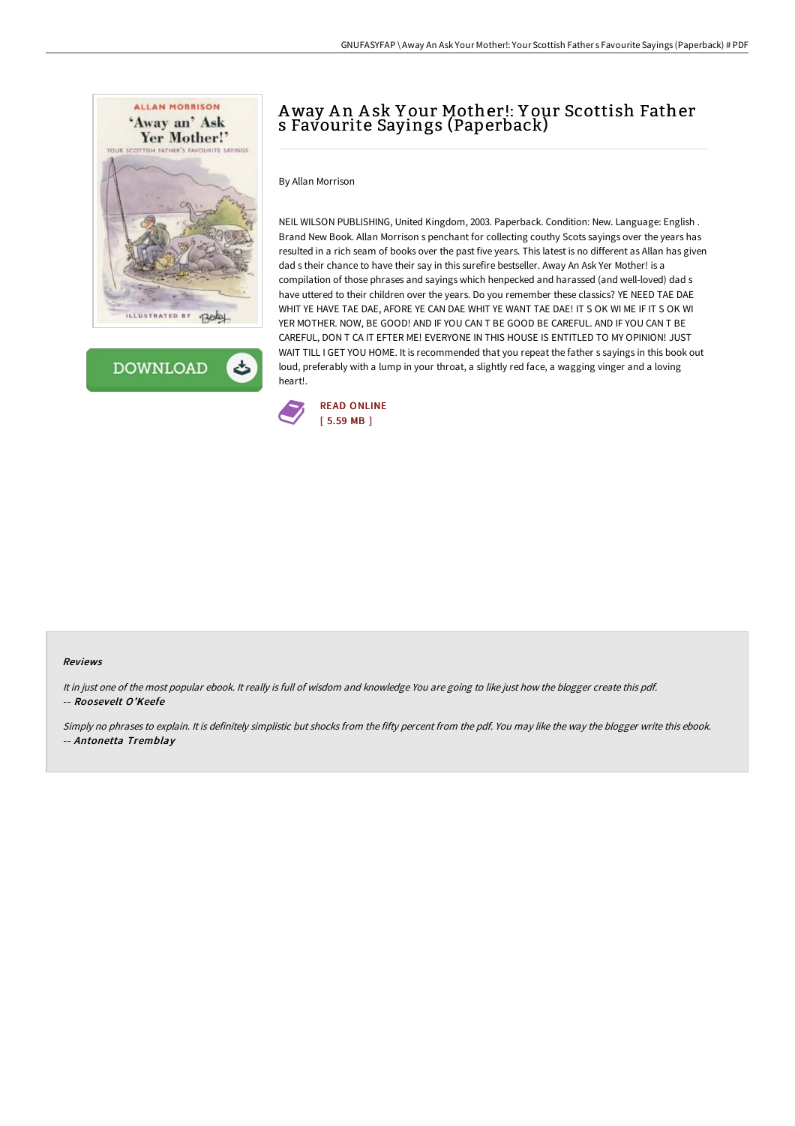



# Away A n A sk Y our Mother!: Y our Scottish Father s Favourite Sayings (Paperback)

By Allan Morrison

NEIL WILSON PUBLISHING, United Kingdom, 2003. Paperback. Condition: New. Language: English . Brand New Book. Allan Morrison s penchant for collecting couthy Scots sayings over the years has resulted in a rich seam of books over the past five years. This latest is no different as Allan has given dad s their chance to have their say in this surefire bestseller. Away An Ask Yer Mother! is a compilation of those phrases and sayings which henpecked and harassed (and well-loved) dad s have uttered to their children over the years. Do you remember these classics? YE NEED TAE DAE WHIT YE HAVE TAE DAE, AFORE YE CAN DAE WHIT YE WANT TAE DAE! IT S OK WI ME IF IT S OK WI YER MOTHER. NOW, BE GOOD! AND IF YOU CAN T BE GOOD BE CAREFUL. AND IF YOU CAN T BE CAREFUL, DON T CA IT EFTER ME! EVERYONE IN THIS HOUSE IS ENTITLED TO MY OPINION! JUST WAIT TILL I GET YOU HOME. It is recommended that you repeat the father s sayings in this book out loud, preferably with a lump in your throat, a slightly red face, a wagging vinger and a loving heart!.



### Reviews

It in just one of the most popular ebook. It really is full of wisdom and knowledge You are going to like just how the blogger create this pdf. -- Roosevelt O'Keefe

Simply no phrases to explain. It is definitely simplistic but shocks from the fifty percent from the pdf. You may like the way the blogger write this ebook. -- Antonetta Tremblay